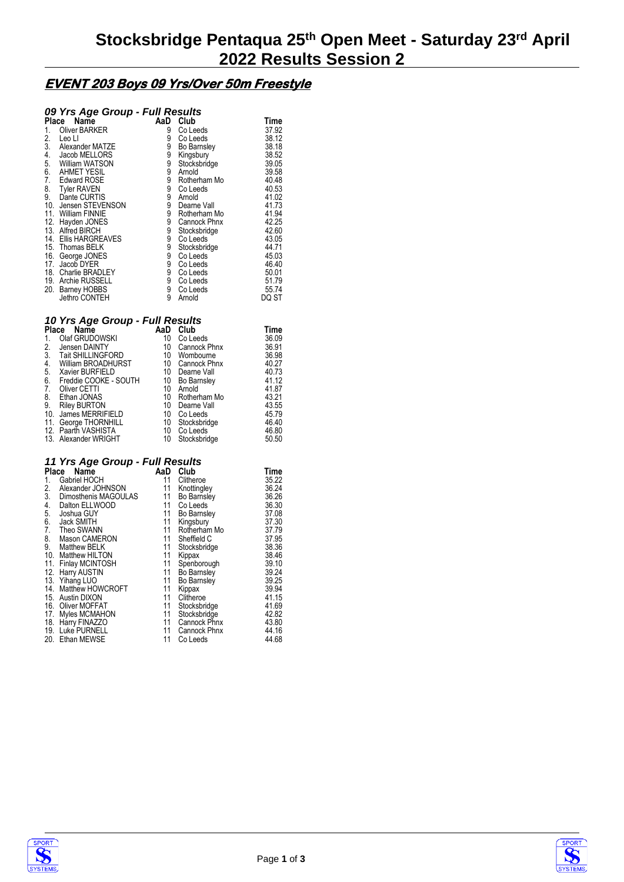## **EVENT 203 Boys 09 Yrs/Over 50m Freestyle**

## *09 Yrs Age Group - Full Results*

| Place | Name                  | AaD | Club               | Time  |
|-------|-----------------------|-----|--------------------|-------|
| 1.    | Oliver BARKER         | 9   | Co Leeds           | 37.92 |
| 2.    | Leo Ll                | 9   | Co Leeds           | 38.12 |
| 3.    | Alexander MATZE       | 9   | <b>Bo Barnsley</b> | 38.18 |
| 4.    | Jacob MELLORS         | 9   | Kingsbury          | 38.52 |
| 5.    | William WATSON        | 9   | Stocksbridge       | 39.05 |
| 6.    | <b>AHMET YESIL</b>    | 9   | Arnold             | 39.58 |
| 7.    | <b>Edward ROSE</b>    | 9   | Rotherham Mo       | 40.48 |
| 8.    | <b>Tyler RAVEN</b>    | 9   | Co Leeds           | 40.53 |
| 9.    | Dante CURTIS          | 9   | Arnold             | 41.02 |
|       | 10. Jensen STEVENSON  | 9   | Dearne Vall        | 41.73 |
| 11.   | <b>William FINNIE</b> | 9   | Rotherham Mo       | 41.94 |
| 12.   | Hayden JONES          | 9   | Cannock Phnx       | 42.25 |
|       | 13. Alfred BIRCH      | 9   | Stocksbridge       | 42.60 |
|       | 14. Ellis HARGREAVES  | 9   | Co Leeds           | 43.05 |
|       | 15. Thomas BELK       | 9   | Stocksbridge       | 44.71 |
|       | 16. George JONES      | 9   | Co Leeds           | 45.03 |
| 17.   | Jacob DYER            | 9   | Co Leeds           | 46.40 |
|       | 18. Charlie BRADLEY   | 9   | Co Leeds           | 50.01 |
|       | 19. Archie RUSSELL    | 9   | Co Leeds           | 51.79 |
| 20.   | <b>Barney HOBBS</b>   | 9   | Co Leeds           | 55.74 |
|       | Jethro CONTEH         | 9   | Arnold             | DQ ST |

#### *10 Yrs Age Group - Full Results*

| <b>Place</b><br>Name |                       | AaD | Club               | Time  |
|----------------------|-----------------------|-----|--------------------|-------|
| 1.                   | Olaf GRUDOWSKI        | 10  | Co Leeds           | 36.09 |
| 2.                   | Jensen DAINTY         | 10  | Cannock Phnx       | 36.91 |
|                      | 3. Tait SHILLINGFORD  | 10  | Wombourne          | 36.98 |
| 4.                   | William BROADHURST    | 10  | Cannock Phnx       | 40.27 |
| 5.                   | Xavier BURFIELD       | 10  | Dearne Vall        | 40.73 |
| 6.                   | Freddie COOKE - SOUTH | 10  | <b>Bo Barnsley</b> | 41.12 |
| 7.                   | Oliver CETTI          | 10  | Arnold             | 41.87 |
| 8.                   | Ethan JONAS           | 10  | Rotherham Mo       | 43.21 |
| 9.                   | <b>Riley BURTON</b>   | 10  | Dearne Vall        | 43.55 |
|                      | 10. James MERRIFIELD  | 10  | Co Leeds           | 45.79 |
| 11.                  | George THORNHILL      | 10  | Stocksbridge       | 46.40 |
|                      | 12. Paarth VASHISTA   | 10  | Co Leeds           | 46.80 |
|                      | 13. Alexander WRIGHT  | 10  | Stocksbridge       | 50.50 |
|                      |                       |     |                    |       |

#### *11 Yrs Age Group - Full Results*

| Place | Name                 | AaD | Club               | Time  |
|-------|----------------------|-----|--------------------|-------|
| 1.    | Gabriel HOCH         | 11  | Clitheroe          | 35.22 |
| 2.    | Alexander JOHNSON    | 11  | Knottingley        | 36.24 |
| 3.    | Dimosthenis MAGOULAS | 11  | Bo Barnsley        | 36.26 |
| 4.    | Dalton ELLWOOD       | 11  | Co Leeds           | 36.30 |
| 5.    | Joshua GUY           | 11  | Bo Barnsley        | 37.08 |
| 6.    | Jack SMITH           | 11  | Kingsbury          | 37.30 |
| 7.    | Theo SWANN           | 11  | Rotherham Mo       | 37.79 |
| 8.    | Mason CAMERON        | 11  | Sheffield C        | 37.95 |
| 9.    | Matthew BELK         | 11  | Stocksbridge       | 38.36 |
|       | 10. Matthew HILTON   | 11  | Kippax             | 38.46 |
|       | 11. Finlay MCINTOSH  | 11  | Spenborough        | 39.10 |
|       | 12. Harry AUSTIN     | 11  | Bo Barnsley        | 39.24 |
|       | 13. Yihang LUO       | 11  | <b>Bo Barnsley</b> | 39.25 |
|       | 14. Matthew HOWCROFT | 11  | Kippax             | 39.94 |
|       | 15. Austin DIXON     | 11  | Clitheroe          | 41.15 |
|       | 16. Oliver MOFFAT    | 11  | Stocksbridge       | 41.69 |
|       | 17. Myles MCMAHON    | 11  | Stocksbridge       | 42.82 |
|       | 18. Harry FINAZZO    | 11  | Cannock Phnx       | 43.80 |
| 19.   | Luke PURNELL         | 11  | Cannock Phnx       | 44.16 |
|       | 20. Ethan MEWSE      | 11  | Co Leeds           | 44.68 |



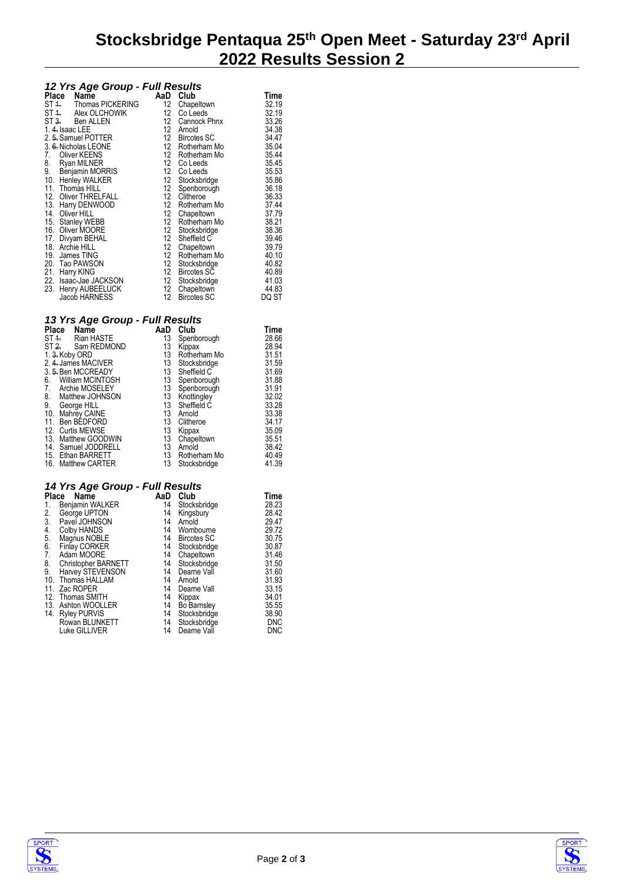# **Stocksbridge Pentaqua 25th Open Meet - Saturday 23rd April 2022 Results Session 2**

#### *12 Yrs Age Group - Full Results*

| Place | ์ข−<br>------<br>Name  | AaD              | Club               | Time  |
|-------|------------------------|------------------|--------------------|-------|
|       | ST 4. Thomas PICKERING | 12               | Chapeltown         | 32.19 |
|       | ST 4. Alex OLCHOWIK    | 12 <sup>12</sup> | Co Leeds           | 32.19 |
| ST 3. | Ben ALLEN              | 12               | Cannock Phnx       | 33.26 |
|       | 1.4. Isaac LEE         | 12 <sup>°</sup>  | Arnold             | 34.38 |
|       | 2. 5. Samuel POTTER    | 12               | <b>Bircotes SC</b> | 34.47 |
|       | 3. 6. Nicholas LEONE   | 12               | Rotherham Mo       | 35.04 |
| 7.    | Oliver KEENS           | 12               | Rotherham Mo       | 35.44 |
| 8.    | Ryan MILNER            | 12               | Co Leeds           | 35.45 |
| 9.    | Benjamin MORRIS        | 12               | Co Leeds           | 35.53 |
| 10.   | Henley WALKER          | 12 <sup>12</sup> | Stocksbridge       | 35.86 |
|       | 11. Thomas HILL        | 12               | Spenborough        | 36.18 |
|       | 12. Oliver THRELFALL   | 12               | Clitheroe          | 36.33 |
|       | 13. Harry DENWOOD      | 12               | Rotherham Mo       | 37.44 |
|       | 14. Oliver HILL        | 12               | Chapeltown         | 37.79 |
|       | 15. Stanley WEBB       | 12               | Rotherham Mo       | 38.21 |
|       | 16. Oliver MOORE       | 12               | Stocksbridge       | 38.36 |
|       | 17. Divyam BEHAL       | 12               | Sheffield C        | 39.46 |
|       | 18. Archie HILL        | 12               | Chapeltown         | 39.79 |
|       | 19. James TING         | 12               | Rotherham Mo       | 40.10 |
|       | 20. Tao PAWSON         | 12               | Stocksbridge       | 40.82 |
| 21.   | Harry KING             | 12               | <b>Bircotes SC</b> | 40.89 |
|       | 22. Isaac-Jae JACKSON  | 12               | Stocksbridge       | 41.03 |
| 23.   | Henry AUBEELUCK        | 12               | Chapeltown         | 44.83 |
|       | Jacob HARNESS          | 12               | <b>Bircotes SC</b> | DQ ST |

#### *13 Yrs Age Group - Full Results*

| Place | Name                           | AaD | Club         | Time  |
|-------|--------------------------------|-----|--------------|-------|
|       | Rian HASTE<br>ST <sub>4</sub>  | 13  | Spenborough  | 28.66 |
|       | ST <sub>2</sub><br>Sam REDMOND | 13  | Kippax       | 28.94 |
|       | 1. 3. Koby ORD                 | 13  | Rotherham Mo | 31.51 |
|       | 2. 4. James MACIVER            | 13  | Stocksbridge | 31.59 |
|       | 3.5. Ben MCCREADY              | 13  | Sheffield C  | 31.69 |
| 6.    | William MCINTOSH               | 13  | Spenborough  | 31.88 |
| 7.    | Archie MOSELEY                 | 13  | Spenborough  | 31.91 |
| 8.    | Matthew JOHNSON                | 13  | Knottingley  | 32.02 |
| 9.    | George HILL                    | 13  | Sheffield C  | 33.28 |
| 10.   | Mahrey CAINE                   | 13  | Arnold       | 33.38 |
| 11.   | Ben BEDFORD                    | 13  | Clitheroe    | 34.17 |
|       | 12. Curtis MEWSE               | 13  | Kippax       | 35.09 |
|       | 13. Matthew GOODWIN            | 13  | Chapeltown   | 35.51 |
|       | 14. Samuel JODDRELL            | 13  | Arnold       | 38.42 |
|       | 15. Ethan BARRETT              | 13  | Rotherham Mo | 40.49 |
|       | 16. Matthew CARTER             | 13  | Stocksbridge | 41.39 |

### *14 Yrs Age Group - Full Results*

|       | . <b>.</b> .         |     |                    |       |
|-------|----------------------|-----|--------------------|-------|
| Place | Name                 | AaD | Club               | Time  |
| 1.    | Benjamin WALKER      | 14  | Stocksbridge       | 28.23 |
| 2.    | George UPTON         | 14  | Kingsbury          | 28.42 |
| 3.    | Pavel JOHNSON        | 14  | Arnold             | 29.47 |
| 4.    | Colby HANDS          | 14  | Wombourne          | 29.72 |
| 5.    | Magnus NOBLE         | 14  | <b>Bircotes SC</b> | 30.75 |
| 6.    | <b>Finlay CORKER</b> | 14  | Stocksbridge       | 30.87 |
| 7.    | Adam MOORE           | 14  | Chapeltown         | 31.46 |
| 8.    | Christopher BARNETT  | 14  | Stocksbridge       | 31.50 |
| 9.    | Harvey STEVENSON     | 14  | Dearne Vall        | 31.60 |
| 10.   | Thomas HALLAM        | 14  | Arnold             | 31.93 |
|       | 11. Zac ROPER        | 14  | Dearne Vall        | 33.15 |
|       | 12. Thomas SMITH     | 14  | Kippax             | 34.01 |
|       | 13. Ashton WOOLLER   | 14  | <b>Bo Barnsley</b> | 35.55 |
| 14.   | Ryley PURVIS         | 14  | Stocksbridge       | 38.90 |
|       | Rowan BLUNKETT       | 14  | Stocksbridge       | DNC   |
|       | Luke GILLIVER        | 14  | Dearne Vall        | DNC   |